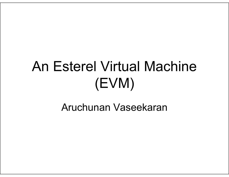## An Esterel Virtual Machine (EVM)

#### Aruchunan Vaseekaran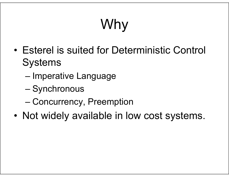# Why

- • Esterel is suited for Deterministic Control **Systems** 
	- –Imperative Language
	- Synchronous
	- Concurrency, Preemption
- •Not widely available in low cost systems.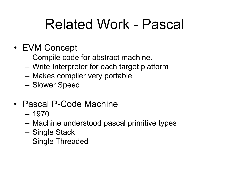### Related Work - Pascal

- EVM Concept
	- –Compile code for abstract machine.
	- –Write Interpreter for each target platform
	- –Makes compiler very portable
	- –Slower Speed
- Pascal P-Code Machine
	- 1970
	- –Machine understood pascal primitive types
	- –Single Stack
	- –Single Threaded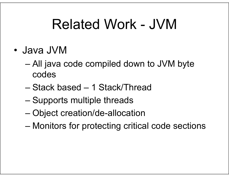### Related Work - JVM

- • Java JVM
	- All java code compiled down to JVM byte codes
	- Stack based 1 Stack/Thread
	- Supports multiple threads
	- Object creation/de-allocation
	- Monitors for protecting critical code sections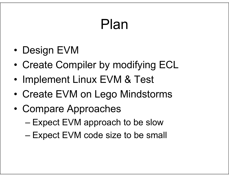### Plan

- •Design EVM
- •Create Compiler by modifying ECL
- •Implement Linux EVM & Test
- •Create EVM on Lego Mindstorms
- • Compare Approaches
	- Expect EVM approach to be slow
	- Expect EVM code size to be small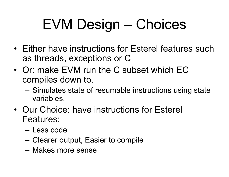# EVM Design – Choices

- Either have instructions for Esterel features such as threads, exceptions or C
- Or: make EVM run the C subset which EC compiles down to.
	- – Simulates state of resumable instructions using state variables.
- Our Choice: have instructions for Esterel Features:
	- Less code
	- –Clearer output, Easier to compile
	- Makes more sense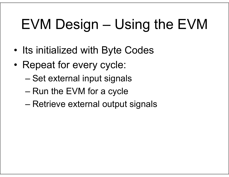# EVM Design – Using the EVM

- •Its initialized with Byte Codes
- • Repeat for every cycle:
	- Set external input signals
	- Run the EVM for a cycle
	- Retrieve external output signals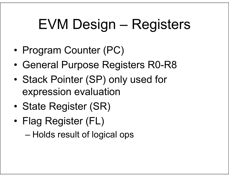## EVM Design – Registers

- •Program Counter (PC)
- •General Purpose Registers R0-R8
- • Stack Pointer (SP) only used for expression evaluation
- •State Register (SR)
- • Flag Register (FL)
	- Holds result of logical ops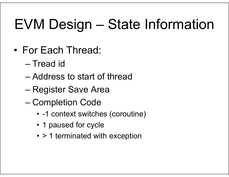## EVM Design – State Information

- • For Each Thread:
	- Tread id
	- Address to start of thread
	- Register Save Area
	- Completion Code
		- -1 context switches (coroutine)
		- 1 paused for cycle
		- > 1 terminated with exception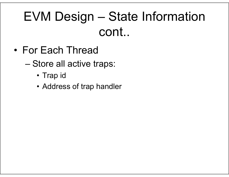#### EVM Design – State Information cont..

- • For Each Thread
	- Store all active traps:
		- Trap id
		- Address of trap handler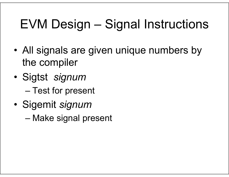### EVM Design – Signal Instructions

- • All signals are given unique numbers by the compiler
- • Sigtst *signum* Test for present
- • Sigemit *signum*
	- Make signal present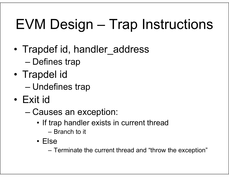# EVM Design – Trap Instructions

- • Trapdef id, handler\_address –Defines trap
- • Trapdel id Undefines trap
- • Exit id
	- Causes an exception:
		- If trap handler exists in current thread
			- Branch to it
		- Else

Terminate the current thread and "throw the exception"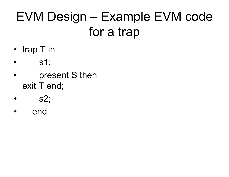#### EVM Design – Example EVM code for a trap

- trap T in
- •s1;
- • present S then exit T end;
- •s2;
- •end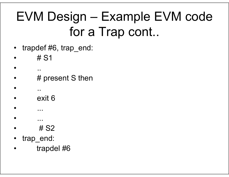#### EVM Design – Example EVM code for a Trap cont..

- •trapdef #6, trap\_end:
- •# S1

..

..

•

•

•

- •# present S then
- •exit 6
- •...
- ...•# S2
- •trap\_end:
- •trapdel #6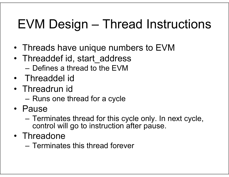### EVM Design – Thread Instructions

- Threads have unique numbers to EVM
- Threaddef id, start\_address – Defines a thread to the EVM
- Threaddel id
- Threadrun id
	- –Runs one thread for a cycle
- Pause
	- – Terminates thread for this cycle only. In next cycle, control will go to instruction after pause.
- Threadone
	- Terminates this thread forever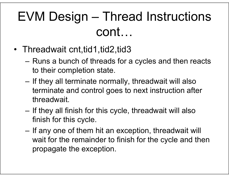#### EVM Design – Thread Instructions cont…

- Threadwait cnt,tid1,tid2,tid3
	- – Runs a bunch of threads for a cycles and then reacts to their completion state.
	- – If they all terminate normally, threadwait will also terminate and control goes to next instruction after threadwait.
	- – If they all finish for this cycle, threadwait will also finish for this cycle.
	- – If any one of them hit an exception, threadwait will wait for the remainder to finish for the cycle and then propagate the exception.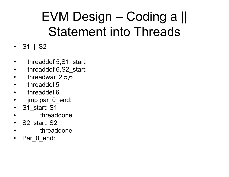#### EVM Design – Coding a || Statement into Threads

- S1 || S2
- •threaddef 5,S1\_start:
- •threaddef 6,S2\_start:
- •threadwait 2,5,6
- •threaddel 5
- threaddel 6
- •jmp par 0 end;
- •S1 start: S1
- •threaddone
- •S<sub>2</sub> start: S<sub>2</sub>
- •threaddone
- •Par 0 end: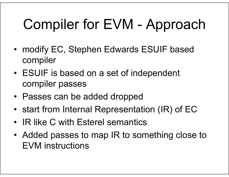# Compiler for EVM - Approach

- modify EC, Stephen Edwards ESUIF based compiler
- ESUIF is based on a set of independent compiler passes
- Passes can be added dropped
- start from Internal Representation (IR) of EC
- IR like C with Esterel semantics
- Added passes to map IR to something close to EVM instructions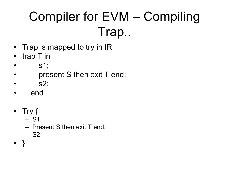### Compiler for EVM – Compiling Trap..

- •Trap is mapped to try in IR
- •trap T in
- •s1;
- •present S then exit T end;
- •s2;
- •end
- Try {
	- S1
	- –Present S then exit T end;
	- S2
- •}<br>}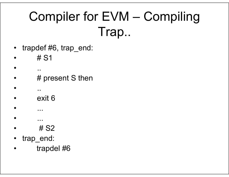#### Compiler for EVM – Compiling Trap..

- •trapdef #6, trap\_end:
- •# S1

..

..

•

•

•

- •# present S then
- •exit 6
- •...
- ...•# S2
- •trap\_end:
- •trapdel #6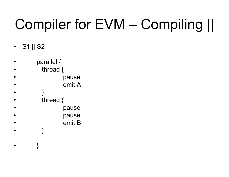## Compiler for EVM – Compiling ||

 $\bullet$ S1 || S2

•

```
• parallel {
• thread {
• pause
• emit A•}<br>}
• thread {
• pause
• pause
• emit B• }
```
}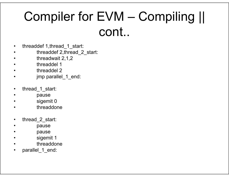#### Compiler for EVM – Compiling || cont..

- •threaddef 1,thread\_1\_start:
- •threaddef 2,thread\_2\_start:
- •threadwait 2,1,2
- •threaddel 1
- •threaddel 2
- •jmp parallel\_1\_end:
- •thread\_1\_start:
- •pause
- •sigemit 0
- •threaddone
- •thread\_2\_start:
- •pause
- •pause
- •sigemit 1
- •threaddone
- •parallel 1 end: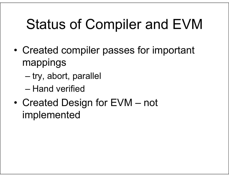## Status of Compiler and EVM

- • Created compiler passes for important mappings
	- –try, abort, parallel
	- Hand verified
- • Created Design for EVM – not implemented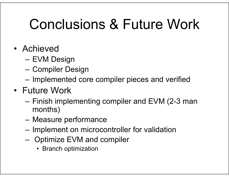### Conclusions & Future Work

- Achieved
	- –EVM Design
	- –Compiler Design
	- –Implemented core compiler pieces and verified
- Future Work
	- – Finish implementing compiler and EVM (2-3 man months)
	- –Measure performance
	- –Implement on microcontroller for validation
	- – Optimize EVM and compiler
		- Branch optimization